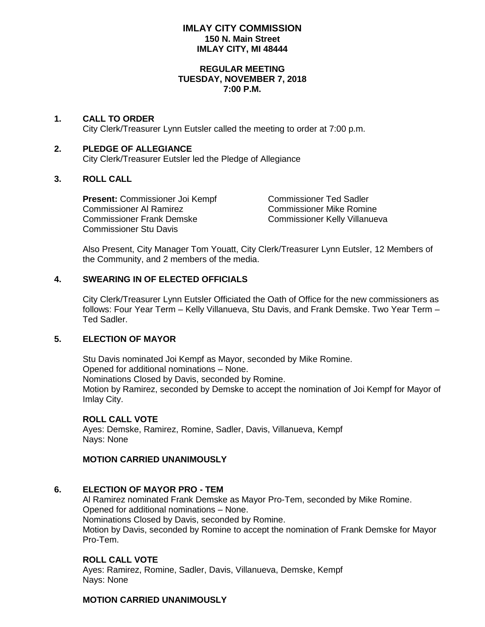# **IMLAY CITY COMMISSION 150 N. Main Street IMLAY CITY, MI 48444**

#### **REGULAR MEETING TUESDAY, NOVEMBER 7, 2018 7:00 P.M.**

# **1. CALL TO ORDER**

City Clerk/Treasurer Lynn Eutsler called the meeting to order at 7:00 p.m.

# **2. PLEDGE OF ALLEGIANCE**

City Clerk/Treasurer Eutsler led the Pledge of Allegiance

# **3. ROLL CALL**

**Present:** Commissioner Joi Kempf Commissioner Ted Sadler Commissioner Al Ramirez Commissioner Mike Romine Commissioner Frank Demske Commissioner Kelly Villanueva Commissioner Stu Davis

Also Present, City Manager Tom Youatt, City Clerk/Treasurer Lynn Eutsler, 12 Members of the Community, and 2 members of the media.

# **4. SWEARING IN OF ELECTED OFFICIALS**

City Clerk/Treasurer Lynn Eutsler Officiated the Oath of Office for the new commissioners as follows: Four Year Term – Kelly Villanueva, Stu Davis, and Frank Demske. Two Year Term – Ted Sadler.

# **5. ELECTION OF MAYOR**

Stu Davis nominated Joi Kempf as Mayor, seconded by Mike Romine. Opened for additional nominations – None. Nominations Closed by Davis, seconded by Romine. Motion by Ramirez, seconded by Demske to accept the nomination of Joi Kempf for Mayor of Imlay City.

### **ROLL CALL VOTE**

Ayes: Demske, Ramirez, Romine, Sadler, Davis, Villanueva, Kempf Nays: None

### **MOTION CARRIED UNANIMOUSLY**

# **6. ELECTION OF MAYOR PRO - TEM**

Al Ramirez nominated Frank Demske as Mayor Pro-Tem, seconded by Mike Romine. Opened for additional nominations – None. Nominations Closed by Davis, seconded by Romine. Motion by Davis, seconded by Romine to accept the nomination of Frank Demske for Mayor Pro-Tem.

# **ROLL CALL VOTE**

Ayes: Ramirez, Romine, Sadler, Davis, Villanueva, Demske, Kempf Nays: None

# **MOTION CARRIED UNANIMOUSLY**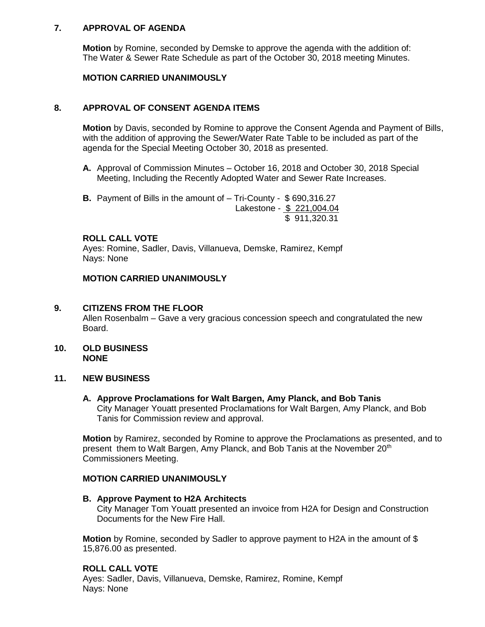# **7. APPROVAL OF AGENDA**

**Motion** by Romine, seconded by Demske to approve the agenda with the addition of: The Water & Sewer Rate Schedule as part of the October 30, 2018 meeting Minutes.

# **MOTION CARRIED UNANIMOUSLY**

# **8. APPROVAL OF CONSENT AGENDA ITEMS**

**Motion** by Davis, seconded by Romine to approve the Consent Agenda and Payment of Bills, with the addition of approving the Sewer/Water Rate Table to be included as part of the agenda for the Special Meeting October 30, 2018 as presented.

- **A.** Approval of Commission Minutes October 16, 2018 and October 30, 2018 Special Meeting, Including the Recently Adopted Water and Sewer Rate Increases.
- **B.** Payment of Bills in the amount of Tri-County \$ 690,316.27 Lakestone - \$ 221,004.04 \$ 911,320.31

#### **ROLL CALL VOTE**

Ayes: Romine, Sadler, Davis, Villanueva, Demske, Ramirez, Kempf Nays: None

# **MOTION CARRIED UNANIMOUSLY**

### **9. CITIZENS FROM THE FLOOR**

Allen Rosenbalm – Gave a very gracious concession speech and congratulated the new Board.

### **10. OLD BUSINESS NONE**

### **11. NEW BUSINESS**

**A. Approve Proclamations for Walt Bargen, Amy Planck, and Bob Tanis** City Manager Youatt presented Proclamations for Walt Bargen, Amy Planck, and Bob Tanis for Commission review and approval.

**Motion** by Ramirez, seconded by Romine to approve the Proclamations as presented, and to present them to Walt Bargen, Amy Planck, and Bob Tanis at the November 20<sup>th</sup> Commissioners Meeting.

### **MOTION CARRIED UNANIMOUSLY**

### **B. Approve Payment to H2A Architects**

City Manager Tom Youatt presented an invoice from H2A for Design and Construction Documents for the New Fire Hall.

**Motion** by Romine, seconded by Sadler to approve payment to H2A in the amount of \$ 15,876.00 as presented.

### **ROLL CALL VOTE**

Ayes: Sadler, Davis, Villanueva, Demske, Ramirez, Romine, Kempf Nays: None